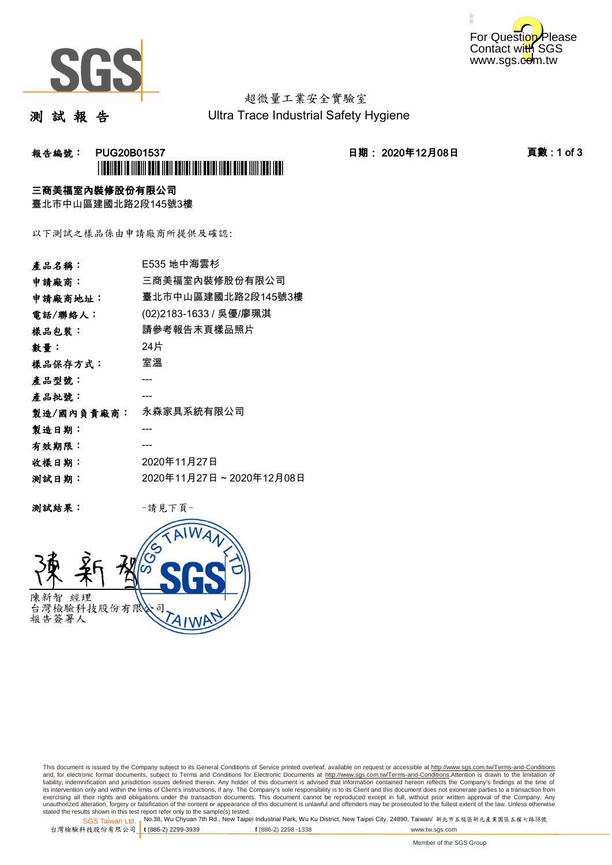



# 超微量工業安全實驗室

測 試 報 告

Ultra Trace Industrial Safety Hygiene

## 報告編號: PUG20B01537 日期: 2020年12月08日 頁數 : 1 of 3 \*PUG20B01537\*

### 三商美福室內裝修股份有限公司

臺北市中山區建國北路2段145號3樓

以下測試之樣品係由申請廠商所提供及確認:

| 產品名稱:      | E535 地中海雲杉              |
|------------|-------------------------|
| 申請廠商:      | 三商美福室內裝修股份有限公司          |
| 申請廠商地址:    | 臺北市中山區建國北路2段145號3樓      |
| 電話/聯絡人:    | (02)2183-1633 / 吳優/廖珮淇  |
| 樣品包裝:      | 請參考報告末頁樣品照片             |
| 數量:        | 24片                     |
| 樣品保存方式:    | 室溫                      |
| 產品型號:      |                         |
| 產品批號:      |                         |
| 製造/國內負責廠商: | 永森家具系統有限公司              |
| 製造日期:      |                         |
| 有效期限:      |                         |
| 收樣日期:      | 2020年11月27日             |
| 测試日期:      | 2020年11月27日~2020年12月08日 |
|            |                         |

测試結果: 一請見下頁



This document is issued by the Company subject to its General Conditions of Service printed overleaf, available on request or accessible at http://www.sgs.com.tw/Terms-and-Conditions and, for electronic format documents, subject to Terms and Conditions for Electronic Documents at <u>http://www.sgs.com.tw/Terms-and-Conditions</u>.Attention is drawn to the limitation of<br>liability, indemnification and jurisdic exercising all their rights and obligations under the transaction documents. This document cannot be reproduced except in full, without prior written approval of the Company. Any<br>unauthorized alteration, forgery or falsifi

SGS Taiwan Ltd. 1 stated the results shown in this test report refer only to the sample(s) tested.<br>Stated the results shown in this test report refer only to the sample(s) tested.

台灣檢驗科技股份有限公司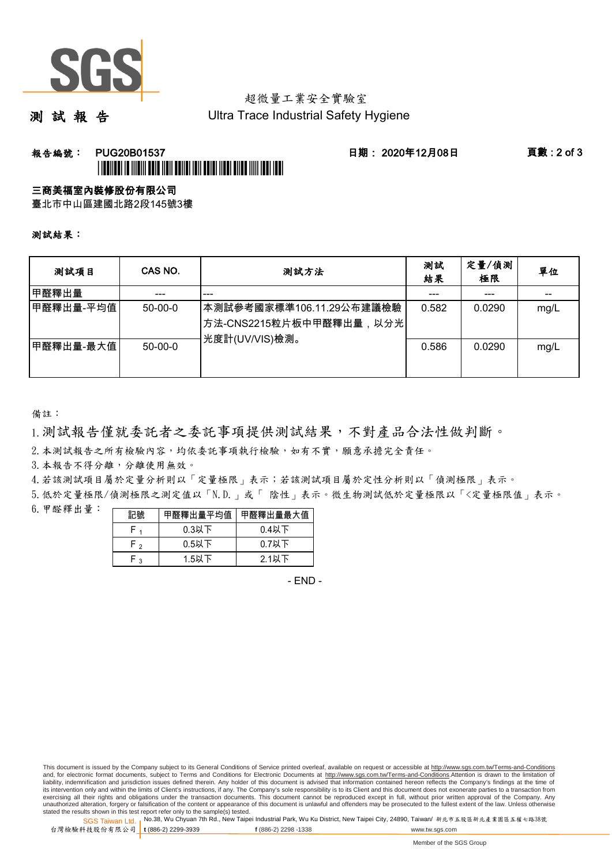

## 超微量工業安全實驗室

測 試 報 告

Ultra Trace Industrial Safety Hygiene

### **報告編號: PUG20B01537 日期: 2020年12月08日 頁數:2 of 3** \*PUG20B01537\*

#### 三商美福室內裝修股份有限公司

臺北市中山區建國北路2段145號3樓

測試結果:

| 测試項目      | CAS NO.   | 測試方法                                                                                | 測試<br>結果 | 定量/偵測<br>極限 | 單位   |
|-----------|-----------|-------------------------------------------------------------------------------------|----------|-------------|------|
| 甲醛釋出量     |           | ---                                                                                 |          |             |      |
| 甲醛釋出量-平均值 | $50-00-0$ | 本測試參考國家標準106.11.29公布建議檢驗<br><sup> </sup> 方法-CNS2215粒片板中甲醛釋出量,以分光 <br>光度計(UV/VIS)檢測。 | 0.582    | 0.0290      | mg/L |
| 甲醛釋出量-最大值 | $50-00-0$ |                                                                                     | 0.586    | 0.0290      | mg/L |

備註:

1.測試報告僅就委託者之委託事項提供測試結果,不對產品合法性做判斷。

2.本測試報告之所有檢驗內容,均依委託事項執行檢驗,如有不實,願意承擔完全責任。

3. 本報告不得分離,分離使用無效。

4.若該測試項目屬於定量分析則以「定量極限」表示;若該測試項目屬於定性分析則以「偵測極限」表示。

5.低於定量極限/偵測極限之測定值以「N.D.」或「 陰性」表示。微生物測試低於定量極限以「<定量極限值」表示。

6.甲醛釋出量:

| 記號  | 甲醛釋出量平均值丨 | 甲醛釋出量最大值 |  |  |
|-----|-----------|----------|--|--|
|     | $0.3$ 以下  | $0.4$ 以下 |  |  |
| ົ່າ | $0.5$ 以下  | $0.7$ 以下 |  |  |
| ົ   | $1.5$ 以下  | $2.1$ 以下 |  |  |

- END -

This document is issued by the Company subject to its General Conditions of Service printed overleaf, available on request or accessible at http://www.sgs.com.tw/Terms-and-Conditions and, for electronic format documents, subject to Terms and Conditions for Electronic Documents at http://www.sgs.com.tw/Terms-and-Conditions.Attention is drawn to the limitation of liability, indemnification and jurisdiction issues defined therein. Any holder of this document is advised that information contained hereon reflects the Company's findings at the time of<br>its intervention only and within t exercising all their rights and obligations under the transaction documents. This document cannot be reproduced except in full, without prior written approval of the Company. Any<br>unauthorized alteration, forgery or falsifi

SGS Taiwan Ltd. 1 stated the results shown in this test report refer only to the sample(s) tested.<br>Stated the results shown in this test report refer only to the sample(s) tested.

台灣檢驗科技股份有限公司

**t** (886-2) 2299-3939 **f** (886-2) 2298 -1338 www.tw.sgs.com